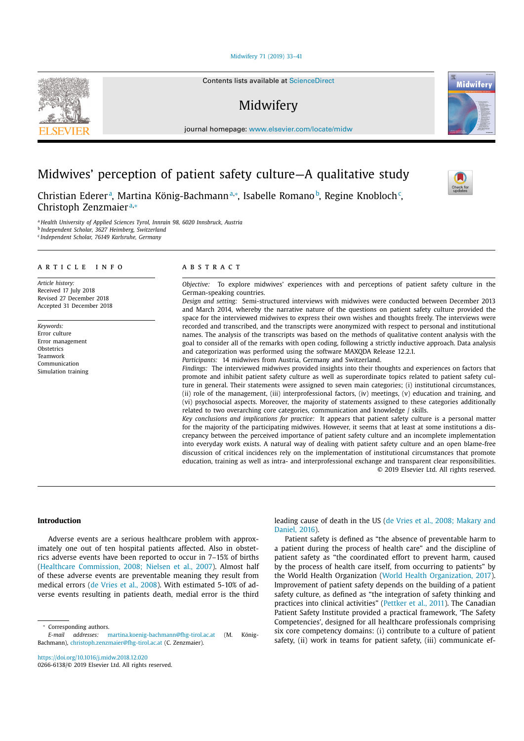Midwifery 71 (2019) 33–41

Contents lists available at ScienceDirect

# Midwifery

journal homepage: www.elsevier.com/locate/midw

# Midwives' perception of patient safety culture—A qualitative study

Christian Edererª, Martina König-Bachmannª,\*, Isabelle Romano♭, Regine Knobloch¢, Christoph Zenzmaier<sup>a,\*</sup>

<sup>a</sup> *Health University of Applied Sciences Tyrol, Innrain 98, 6020 Innsbruck, Austria* <sup>b</sup> *Independent Scholar, 3627 Heimberg, Switzerland* <sup>c</sup> *Independent Scholar, 76149 Karlsruhe, Germany*

## a r t i c l e i n f o

*Article history:* Received 17 July 2018 Revised 27 December 2018 Accepted 31 December 2018

*Keywords:* Error culture Error management **Obstetrics** Teamwork Communication Simulation training

## a b s t r a c t

*Objective:* To explore midwives' experiences with and perceptions of patient safety culture in the German-speaking countries.

*Design and setting:* Semi-structured interviews with midwives were conducted between December 2013 and March 2014, whereby the narrative nature of the questions on patient safety culture provided the space for the interviewed midwives to express their own wishes and thoughts freely. The interviews were recorded and transcribed, and the transcripts were anonymized with respect to personal and institutional names. The analysis of the transcripts was based on the methods of qualitative content analysis with the goal to consider all of the remarks with open coding, following a strictly inductive approach. Data analysis and categorization was performed using the software MAXQDA Release 12.2.1. *Participants:* 14 midwives from Austria, Germany and Switzerland.

*Findings:* The interviewed midwives provided insights into their thoughts and experiences on factors that promote and inhibit patient safety culture as well as superordinate topics related to patient safety culture in general. Their statements were assigned to seven main categories; (i) institutional circumstances, (ii) role of the management, (iii) interprofessional factors, (iv) meetings, (v) education and training, and (vi) psychosocial aspects. Moreover, the majority of statements assigned to these categories additionally related to two overarching core categories, communication and knowledge / skills.

*Key conclusions and implications for practice:* It appears that patient safety culture is a personal matter for the majority of the participating midwives. However, it seems that at least at some institutions a discrepancy between the perceived importance of patient safety culture and an incomplete implementation into everyday work exists. A natural way of dealing with patient safety culture and an open blame-free discussion of critical incidences rely on the implementation of institutional circumstances that promote education, training as well as intra- and interprofessional exchange and transparent clear responsibilities. © 2019 Elsevier Ltd. All rights reserved.

## **Introduction**

Adverse events are a serious healthcare problem with approximately one out of ten hospital patients affected. Also in obstetrics adverse events have been reported to occur in 7–15% of births (Healthcare Commission, 2008; Nielsen et al., 2007). Almost half of these adverse events are preventable meaning they result from medical errors (de Vries et al., 2008). With estimated 5-10% of adverse events resulting in patients death, medial error is the third

Corresponding authors.

https://doi.org/10.1016/j.midw.2018.12.020

0266-6138/© 2019 Elsevier Ltd. All rights reserved.

leading cause of death in the US (de Vries et al., 2008; Makary and Daniel, 2016).

Patient safety is defined as "the absence of preventable harm to a patient during the process of health care" and the discipline of patient safety as "the coordinated effort to prevent harm, caused by the process of health care itself, from occurring to patients" by the World Health Organization (World Health Organization, 2017). Improvement of patient safety depends on the building of a patient safety culture, as defined as "the integration of safety thinking and practices into clinical activities" (Pettker et al., 2011). The Canadian Patient Safety Institute provided a practical framework, 'The Safety Competencies', designed for all healthcare professionals comprising six core competency domains: (i) contribute to a culture of patient safety, (ii) work in teams for patient safety, (iii) communicate ef-



**Midwifer** 



*E-mail addresses:* martina.koenig-bachmann@fhg-tirol.ac.at (M. König-Bachmann), christoph.zenzmaier@fhg-tirol.ac.at (C. Zenzmaier).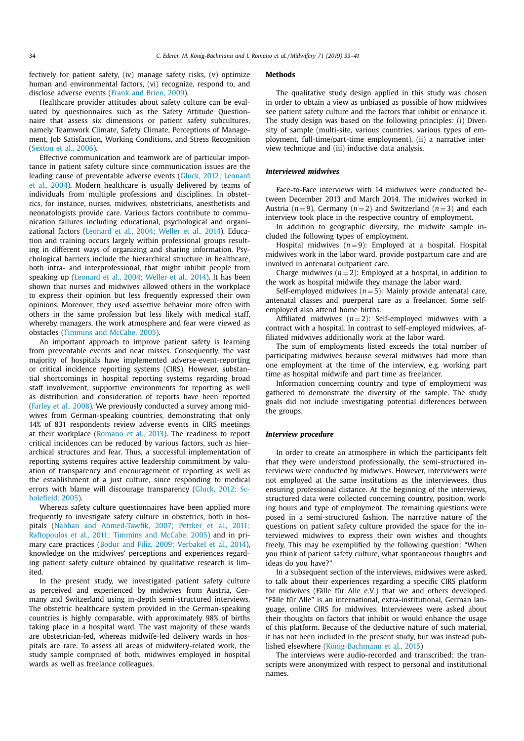fectively for patient safety, (iv) manage safety risks, (v) optimize human and environmental factors, (vi) recognize, respond to, and disclose adverse events (Frank and Brien, 2009).

Healthcare provider attitudes about safety culture can be evaluated by questionnaires such as the Safety Attitude Questionnaire that assess six dimensions or patient safety subcultures, namely Teamwork Climate, Safety Climate, Perceptions of Management, Job Satisfaction, Working Conditions, and Stress Recognition (Sexton et al., 2006).

Effective communication and teamwork are of particular importance in patient safety culture since communication issues are the leading cause of preventable adverse events (Gluck, 2012; Leonard et al., 2004). Modern healthcare is usually delivered by teams of individuals from multiple professions and disciplines. In obstetrics, for instance, nurses, midwives, obstetricians, anesthetists and neonatologists provide care. Various factors contribute to communication failures including educational, psychological and organizational factors (Leonard et al., 2004; Weller et al., 2014). Education and training occurs largely within professional groups resulting in different ways of organizing and sharing information. Psychological barriers include the hierarchical structure in healthcare, both intra- and interprofessional, that might inhibit people from speaking up (Leonard et al., 2004; Weller et al., 2014). It has been shown that nurses and midwives allowed others in the workplace to express their opinion but less frequently expressed their own opinions. Moreover, they used assertive behavior more often with others in the same profession but less likely with medical staff, whereby managers, the work atmosphere and fear were viewed as obstacles (Timmins and McCabe, 2005).

An important approach to improve patient safety is learning from preventable events and near misses. Consequently, the vast majority of hospitals have implemented adverse-event-reporting or critical incidence reporting systems (CIRS). However, substantial shortcomings in hospital reporting systems regarding broad staff involvement, supportive environments for reporting as well as distribution and consideration of reports have been reported (Farley et al., 2008). We previously conducted a survey among midwives from German-speaking countries, demonstrating that only 14% of 831 respondents review adverse events in CIRS meetings at their workplace (Romano et al., 2013). The readiness to report critical incidences can be reduced by various factors, such as hierarchical structures and fear. Thus, a successful implementation of reporting systems requires active leadership commitment by valuation of transparency and encouragement of reporting as well as the establishment of a just culture, since responding to medical errors with blame will discourage transparency (Gluck, 2012; Scholefield, 2005).

Whereas safety culture questionnaires have been applied more frequently to investigate safety culture in obstetrics, both in hospitals (Nabhan and Ahmed-Tawfik, 2007; Pettker et al., 2011; Raftopoulos et al., 2011; Timmins and McCabe, 2005) and in primary care practices (Bodur and Filiz, 2009; Verbakel et al., 2014), knowledge on the midwives' perceptions and experiences regarding patient safety culture obtained by qualitative research is limited.

In the present study, we investigated patient safety culture as perceived and experienced by midwives from Austria, Germany and Switzerland using in-depth semi-structured interviews. The obstetric healthcare system provided in the German-speaking countries is highly comparable, with approximately 98% of births taking place in a hospital ward. The vast majority of these wards are obstetrician-led, whereas midwife-led delivery wards in hospitals are rare. To assess all areas of midwifery-related work, the study sample comprised of both, midwives employed in hospital wards as well as freelance colleagues.

# **Methods**

The qualitative study design applied in this study was chosen in order to obtain a view as unbiased as possible of how midwives see patient safety culture and the factors that inhibit or enhance it. The study design was based on the following principles: (i) Diversity of sample (multi-site, various countries, various types of employment, full-time/part-time employment), (ii) a narrative interview technique and (iii) inductive data analysis.

## *Interviewed midwives*

Face-to-Face interviews with 14 midwives were conducted between December 2013 and March 2014. The midwives worked in Austria ( $n = 9$ ), Germany ( $n = 2$ ) and Switzerland ( $n = 3$ ) and each interview took place in the respective country of employment.

In addition to geographic diversity, the midwife sample included the following types of employment.

Hospital midwives  $(n=9)$ : Employed at a hospital. Hospital midwives work in the labor ward, provide postpartum care and are involved in antenatal outpatient care.

Charge midwives  $(n=2)$ : Employed at a hospital, in addition to the work as hospital midwife they manage the labor ward.

Self-employed midwives  $(n=5)$ : Mainly provide antenatal care, antenatal classes and puerperal care as a freelancer. Some selfemployed also attend home births.

Affiliated midwives  $(n=2)$ : Self-employed midwives with a contract with a hospital. In contrast to self-employed midwives, affiliated midwives additionally work at the labor ward.

The sum of employments listed exceeds the total number of participating midwives because several midwives had more than one employment at the time of the interview, e.g. working part time as hospital midwife and part time as freelancer.

Information concerning country and type of employment was gathered to demonstrate the diversity of the sample. The study goals did not include investigating potential differences between the groups.

## *Interview procedure*

In order to create an atmosphere in which the participants felt that they were understood professionally, the semi-structured interviews were conducted by midwives. However, interviewers were not employed at the same institutions as the interviewees, thus ensuring professional distance. At the beginning of the interviews, structured data were collected concerning country, position, working hours and type of employment. The remaining questions were posed in a semi-structured fashion. The narrative nature of the questions on patient safety culture provided the space for the interviewed midwives to express their own wishes and thoughts freely. This may be exemplified by the following question: "When you think of patient safety culture, what spontaneous thoughts and ideas do you have?"

In a subsequent section of the interviews, midwives were asked, to talk about their experiences regarding a specific CIRS platform for midwives (Fälle für Alle e.V.) that we and others developed. "Fälle für Alle" is an international, extra-institutional, German language, online CIRS for midwives. Interviewees were asked about their thoughts on factors that inhibit or would enhance the usage of this platform. Because of the deductive nature of such material, it has not been included in the present study, but was instead published elsewhere (König-Bachmann et al., 2015)

The interviews were audio-recorded and transcribed; the transcripts were anonymized with respect to personal and institutional names.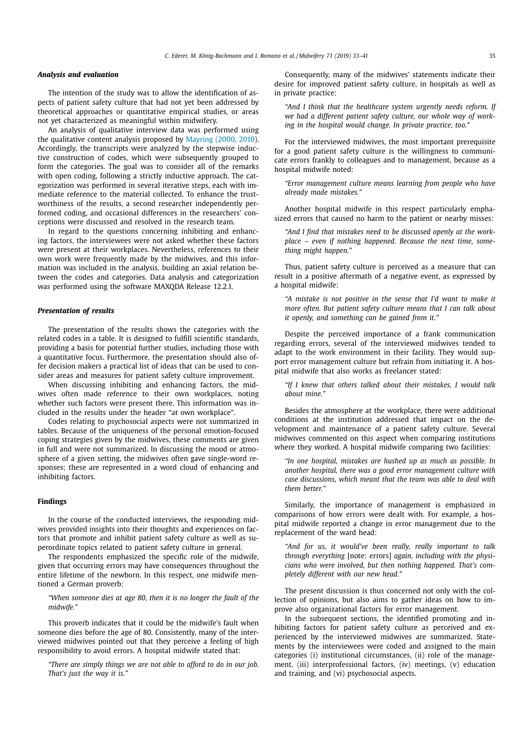## *Analysis and evaluation*

The intention of the study was to allow the identification of aspects of patient safety culture that had not yet been addressed by theoretical approaches or quantitative empirical studies, or areas not yet characterized as meaningful within midwifery.

An analysis of qualitative interview data was performed using the qualitative content analysis proposed by Mayring (2000, 2010). Accordingly, the transcripts were analyzed by the stepwise inductive construction of codes, which were subsequently grouped to form the categories. The goal was to consider all of the remarks with open coding, following a strictly inductive approach. The categorization was performed in several iterative steps, each with immediate reference to the material collected. To enhance the trustworthiness of the results, a second researcher independently performed coding, and occasional differences in the researchers' conceptions were discussed and resolved in the research team.

In regard to the questions concerning inhibiting and enhancing factors, the interviewees were not asked whether these factors were present at their workplaces. Nevertheless, references to their own work were frequently made by the midwives, and this information was included in the analysis, building an axial relation between the codes and categories. Data analysis and categorization was performed using the software MAXQDA Release 12.2.1.

## *Presentation of results*

The presentation of the results shows the categories with the related codes in a table. It is designed to fulfill scientific standards, providing a basis for potential further studies, including those with a quantitative focus. Furthermore, the presentation should also offer decision makers a practical list of ideas that can be used to consider areas and measures for patient safety culture improvement.

When discussing inhibiting and enhancing factors, the midwives often made reference to their own workplaces, noting whether such factors were present there. This information was included in the results under the header "at own workplace".

Codes relating to psychosocial aspects were not summarized in tables. Because of the uniqueness of the personal emotion-focused coping strategies given by the midwives, these comments are given in full and were not summarized. In discussing the mood or atmosphere of a given setting, the midwives often gave single-word responses; these are represented in a word cloud of enhancing and inhibiting factors.

## **Findings**

In the course of the conducted interviews, the responding midwives provided insights into their thoughts and experiences on factors that promote and inhibit patient safety culture as well as superordinate topics related to patient safety culture in general.

The respondents emphasized the specific role of the midwife, given that occurring errors may have consequences throughout the entire lifetime of the newborn. In this respect, one midwife mentioned a German proverb:

*"When someone dies at age 80, then it is no longer the fault of the midwife."*

This proverb indicates that it could be the midwife's fault when someone dies before the age of 80. Consistently, many of the interviewed midwives pointed out that they perceive a feeling of high responsibility to avoid errors. A hospital midwife stated that:

*"There are simply things we are not able to afford to do in our job. That's just the way it is."*

Consequently, many of the midwives' statements indicate their desire for improved patient safety culture, in hospitals as well as in private practice:

*"And I think that the healthcare system urgently needs reform. If we had a different patient safety culture, our whole way of working in the hospital would change. In private practice, too."*

For the interviewed midwives, the most important prerequisite for a good patient safety culture is the willingness to communicate errors frankly to colleagues and to management, because as a hospital midwife noted:

*"Error management culture means learning from people who have already made mistakes."*

Another hospital midwife in this respect particularly emphasized errors that caused no harm to the patient or nearby misses:

*"And I find that mistakes need to be discussed openly at the workplace – even if nothing happened. Because the next time, something might happen."*

Thus, patient safety culture is perceived as a measure that can result in a positive aftermath of a negative event, as expressed by a hospital midwife:

*"A mistake is not positive in the sense that I'd want to make it more often. But patient safety culture means that I can talk about it openly, and something can be gained from it."*

Despite the perceived importance of a frank communication regarding errors, several of the interviewed midwives tended to adapt to the work environment in their facility. They would support error management culture but refrain from initiating it. A hospital midwife that also works as freelancer stated:

*"If I knew that others talked about their mistakes, I would talk about mine."*

Besides the atmosphere at the workplace, there were additional conditions at the institution addressed that impact on the development and maintenance of a patient safety culture. Several midwives commented on this aspect when comparing institutions where they worked. A hospital midwife comparing two facilities:

*"In one hospital, mistakes are hushed up as much as possible. In another hospital, there was a good error management culture with case discussions, which meant that the team was able to deal with them better."*

Similarly, the importance of management is emphasized in comparisons of how errors were dealt with. For example, a hospital midwife reported a change in error management due to the replacement of the ward head:

*"And for us, it would've been really, really important to talk through everything* [note: errors] *again, including with the physicians who were involved, but then nothing happened. That's completely different with our new head."*

The present discussion is thus concerned not only with the collection of opinions, but also aims to gather ideas on how to improve also organizational factors for error management.

In the subsequent sections, the identified promoting and inhibiting factors for patient safety culture as perceived and experienced by the interviewed midwives are summarized. Statements by the interviewees were coded and assigned to the main categories (i) institutional circumstances, (ii) role of the management, (iii) interprofessional factors, (iv) meetings, (v) education and training, and (vi) psychosocial aspects.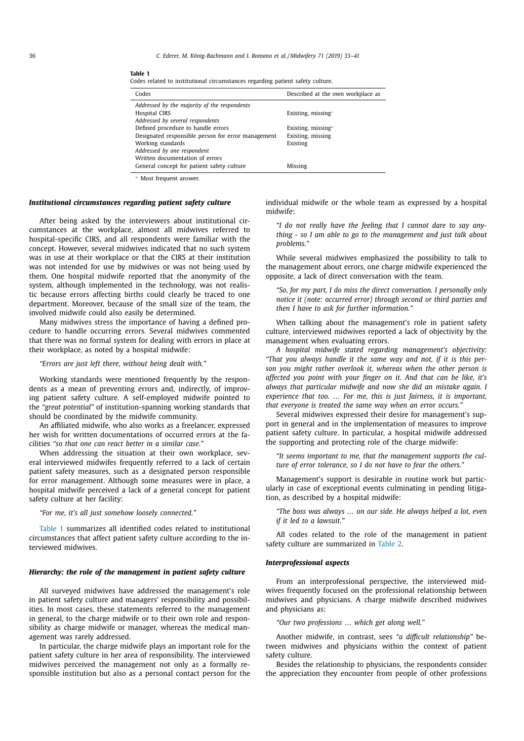#### 36 *C. Ederer, M. König-Bachmann and I. Romano et al. / Midwifery 71 (2019) 33–41*

| Codes                                              | Described at the own workplace as |
|----------------------------------------------------|-----------------------------------|
| Addressed by the majority of the respondents       |                                   |
| Hospital CIRS                                      | Existing, missing*                |
| Addressed by several respondents                   |                                   |
| Defined procedure to handle errors                 | Existing, missing*                |
| Designated responsible person for error management | Existing, missing                 |
| Working standards                                  | Existing                          |
| Addressed by one respondent                        |                                   |
| Written documentation of errors                    |                                   |
| General concept for patient safety culture         | <b>Missing</b>                    |
|                                                    |                                   |

**Table 1** Codes related to institutional circumstances regarding patient safety culture.

<sup>∗</sup> Most frequent answer.

## *Institutional circumstances regarding patient safety culture*

After being asked by the interviewers about institutional circumstances at the workplace, almost all midwives referred to hospital-specific CIRS, and all respondents were familiar with the concept. However, several midwives indicated that no such system was in use at their workplace or that the CIRS at their institution was not intended for use by midwives or was not being used by them. One hospital midwife reported that the anonymity of the system, although implemented in the technology, was not realistic because errors affecting births could clearly be traced to one department. Moreover, because of the small size of the team, the involved midwife could also easily be determined.

Many midwives stress the importance of having a defined procedure to handle occurring errors. Several midwives commented that there was no formal system for dealing with errors in place at their workplace, as noted by a hospital midwife:

## *"Errors are just left there, without being dealt with."*

Working standards were mentioned frequently by the respondents as a mean of preventing errors and, indirectly, of improving patient safety culture. A self-employed midwife pointed to the *"great potential"* of institution-spanning working standards that should be coordinated by the midwife community.

An affiliated midwife, who also works as a freelancer, expressed her wish for written documentations of occurred errors at the facilities *"so that one can react better in a similar case."*

When addressing the situation at their own workplace, several interviewed midwifes frequently referred to a lack of certain patient safety measures, such as a designated person responsible for error management. Although some measures were in place, a hospital midwife perceived a lack of a general concept for patient safety culture at her facility:

*"For me, it's all just somehow loosely connected."*

Table 1 summarizes all identified codes related to institutional circumstances that affect patient safety culture according to the interviewed midwives.

## *Hierarchy: the role of the management in patient safety culture*

All surveyed midwives have addressed the management's role in patient safety culture and managers' responsibility and possibilities. In most cases, these statements referred to the management in general, to the charge midwife or to their own role and responsibility as charge midwife or manager, whereas the medical management was rarely addressed.

In particular, the charge midwife plays an important role for the patient safety culture in her area of responsibility. The interviewed midwives perceived the management not only as a formally responsible institution but also as a personal contact person for the individual midwife or the whole team as expressed by a hospital midwife:

*"I do not really have the feeling that I cannot dare to say anything - so I am able to go to the management and just talk about problems."*

While several midwives emphasized the possibility to talk to the management about errors, one charge midwife experienced the opposite, a lack of direct conversation with the team.

*"So, for my part, I do miss the direct conversation. I personally only notice it (note: occurred error) through second or third parties and then I have to ask for further information."*

When talking about the management's role in patient safety culture, interviewed midwives reported a lack of objectivity by the management when evaluating errors.

*A hospital midwife stated regarding management's objectivity: "That you always handle it the same way and not, if it is this person you might rather overlook it, whereas when the other person is affected you point with your finger on it. And that can be like, it's always that particular midwife and now she did an mistake again. I experience that too. … For me, this is just fairness, it is important, that everyone is treated the same way when an error occurs."*

Several midwives expressed their desire for management's support in general and in the implementation of measures to improve patient safety culture. In particular, a hospital midwife addressed the supporting and protecting role of the charge midwife:

*"It seems important to me, that the management supports the culture of error tolerance, so I do not have to fear the others."*

Management's support is desirable in routine work but particularly in case of exceptional events culminating in pending litigation, as described by a hospital midwife:

*"The boss was always … on our side. He always helped a lot, even if it led to a lawsuit."*

All codes related to the role of the management in patient safety culture are summarized in Table 2.

## *Interprofessional aspects*

From an interprofessional perspective, the interviewed midwives frequently focused on the professional relationship between midwives and physicians. A charge midwife described midwives and physicians as:

*"Our two professions … which get along well."*

Another midwife, in contrast, sees *"a difficult relationship"* between midwives and physicians within the context of patient safety culture.

Besides the relationship to physicians, the respondents consider the appreciation they encounter from people of other professions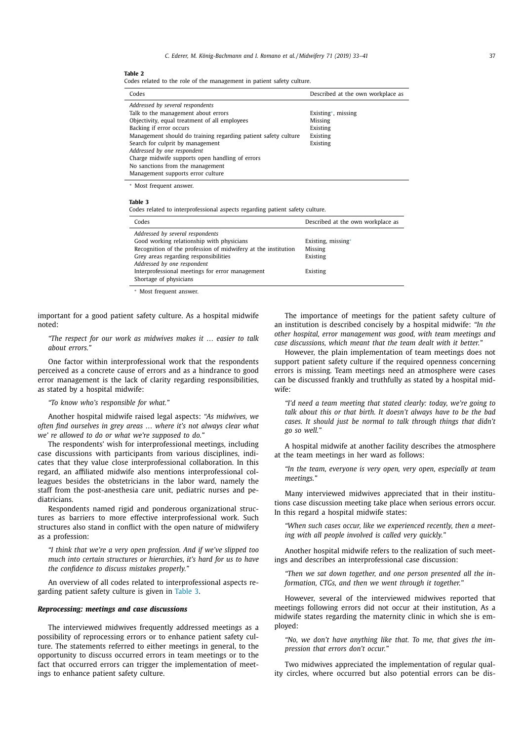## **Table 2**

Codes related to the role of the management in patient safety culture.

| Codes                                                                                                                                                                                                                 | Described at the own workplace as                     |
|-----------------------------------------------------------------------------------------------------------------------------------------------------------------------------------------------------------------------|-------------------------------------------------------|
| Addressed by several respondents<br>Talk to the management about errors<br>Objectivity, equal treatment of all employees<br>Backing if error occurs<br>Management should do training regarding patient safety culture | Existing*, missing<br>Missing<br>Existing<br>Existing |
| Search for culprit by management<br>Addressed by one respondent<br>Charge midwife supports open handling of errors<br>No sanctions from the management<br>Management supports error culture                           | Existing                                              |

<sup>∗</sup> Most frequent answer.

**Table 3**

Codes related to interprofessional aspects regarding patient safety culture.

| Addressed by several respondents                                                                                                                                                                                                                      | Codes                                     | Described at the own workplace as |
|-------------------------------------------------------------------------------------------------------------------------------------------------------------------------------------------------------------------------------------------------------|-------------------------------------------|-----------------------------------|
| Recognition of the profession of midwifery at the institution<br>Missing<br>Grey areas regarding responsibilities<br>Existing<br>Addressed by one respondent<br>Interprofessional meetings for error management<br>Existing<br>Shortage of physicians | Good working relationship with physicians | Existing, missing*                |

<sup>∗</sup> Most frequent answer.

important for a good patient safety culture. As a hospital midwife noted:

*"The respect for our work as midwives makes it … easier to talk about errors."*

One factor within interprofessional work that the respondents perceived as a concrete cause of errors and as a hindrance to good error management is the lack of clarity regarding responsibilities, as stated by a hospital midwife:

*"To know who's responsible for what."*

Another hospital midwife raised legal aspects: *"As midwives, we often find ourselves in grey areas … where it's not always clear what we' re allowed to do or what we're supposed to do."*

The respondents' wish for interprofessional meetings, including case discussions with participants from various disciplines, indicates that they value close interprofessional collaboration. In this regard, an affiliated midwife also mentions interprofessional colleagues besides the obstetricians in the labor ward, namely the staff from the post-anesthesia care unit, pediatric nurses and pediatricians.

Respondents named rigid and ponderous organizational structures as barriers to more effective interprofessional work. Such structures also stand in conflict with the open nature of midwifery as a profession:

*"I think that we're a very open profession. And if we've slipped too much into certain structures or hierarchies, it's hard for us to have the confidence to discuss mistakes properly."*

An overview of all codes related to interprofessional aspects regarding patient safety culture is given in Table 3.

## *Reprocessing: meetings and case discussions*

The interviewed midwives frequently addressed meetings as a possibility of reprocessing errors or to enhance patient safety culture. The statements referred to either meetings in general, to the opportunity to discuss occurred errors in team meetings or to the fact that occurred errors can trigger the implementation of meetings to enhance patient safety culture.

The importance of meetings for the patient safety culture of an institution is described concisely by a hospital midwife: *"In the other hospital, error management was good, with team meetings and case discussions, which meant that the team dealt with it better."*

However, the plain implementation of team meetings does not support patient safety culture if the required openness concerning errors is missing. Team meetings need an atmosphere were cases can be discussed frankly and truthfully as stated by a hospital midwife:

*"I'd need a team meeting that stated clearly: today, we're going to talk about this or that birth. It doesn't always have to be the bad cases. It should just be normal to talk through things that didn't go so well."*

A hospital midwife at another facility describes the atmosphere at the team meetings in her ward as follows:

*"In the team, everyone is very open, very open, especially at team meetings."*

Many interviewed midwives appreciated that in their institutions case discussion meeting take place when serious errors occur. In this regard a hospital midwife states:

*"When such cases occur, like we experienced recently, then a meeting with all people involved is called very quickly."*

Another hospital midwife refers to the realization of such meetings and describes an interprofessional case discussion:

*"Then we sat down together, and one person presented all the information, CTGs, and then we went through it together."*

However, several of the interviewed midwives reported that meetings following errors did not occur at their institution, As a midwife states regarding the maternity clinic in which she is employed:

*"No, we don't have anything like that. To me, that gives the impression that errors don't occur."*

Two midwives appreciated the implementation of regular quality circles, where occurred but also potential errors can be dis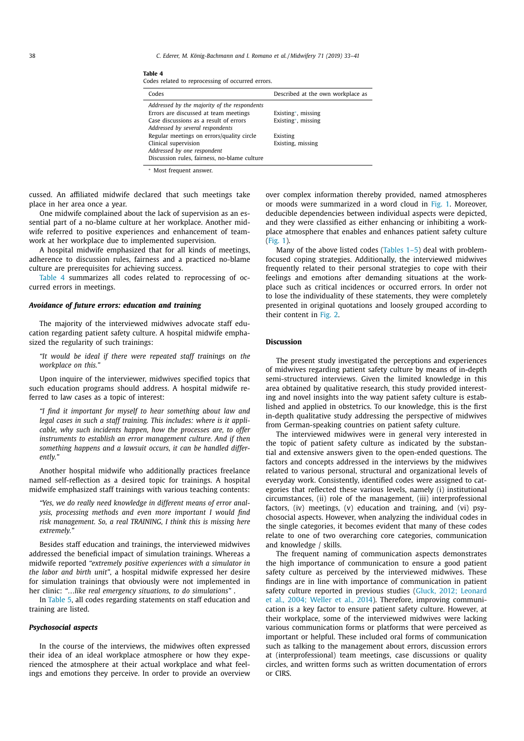38 *C. Ederer, M. König-Bachmann and I. Romano et al. / Midwifery 71 (2019) 33–41*

|--|--|--|

Codes related to reprocessing of occurred errors.

| Codes                                                                                                                                                               | Described at the own workplace as        |
|---------------------------------------------------------------------------------------------------------------------------------------------------------------------|------------------------------------------|
| Addressed by the majority of the respondents<br>Errors are discussed at team meetings<br>Case discussions as a result of errors<br>Addressed by several respondents | Existing*, missing<br>Existing*, missing |
| Regular meetings on errors/quality circle<br>Clinical supervision<br>Addressed by one respondent<br>Discussion rules, fairness, no-blame culture                    | Existing<br>Existing, missing            |

<sup>∗</sup> Most frequent answer.

cussed. An affiliated midwife declared that such meetings take place in her area once a year.

One midwife complained about the lack of supervision as an essential part of a no-blame culture at her workplace. Another midwife referred to positive experiences and enhancement of teamwork at her workplace due to implemented supervision.

A hospital midwife emphasized that for all kinds of meetings, adherence to discussion rules, fairness and a practiced no-blame culture are prerequisites for achieving success.

Table 4 summarizes all codes related to reprocessing of occurred errors in meetings.

## *Avoidance of future errors: education and training*

The majority of the interviewed midwives advocate staff education regarding patient safety culture. A hospital midwife emphasized the regularity of such trainings:

*"It would be ideal if there were repeated staff trainings on the workplace on this."*

Upon inquire of the interviewer, midwives specified topics that such education programs should address. A hospital midwife referred to law cases as a topic of interest:

*"I find it important for myself to hear something about law and legal cases in such a staff training. This includes: where is it applicable, why such incidents happen, how the processes are, to offer instruments to establish an error management culture. And if then something happens and a lawsuit occurs, it can be handled differently."*

Another hospital midwife who additionally practices freelance named self-reflection as a desired topic for trainings. A hospital midwife emphasized staff trainings with various teaching contents:

*"Yes, we do really need knowledge in different means of error analysis, processing methods and even more important I would find risk management. So, a real TRAINING, I think this is missing here extremely."*

Besides staff education and trainings, the interviewed midwives addressed the beneficial impact of simulation trainings. Whereas a midwife reported *"extremely positive experiences with a simulator in the labor and birth unit"*, a hospital midwife expressed her desire for simulation trainings that obviously were not implemented in her clinic: *"…like real emergency situations, to do simulations"* .

In Table 5, all codes regarding statements on staff education and training are listed.

#### *Psychosocial aspects*

In the course of the interviews, the midwives often expressed their idea of an ideal workplace atmosphere or how they experienced the atmosphere at their actual workplace and what feelings and emotions they perceive. In order to provide an overview over complex information thereby provided, named atmospheres or moods were summarized in a word cloud in Fig. 1. Moreover, deducible dependencies between individual aspects were depicted, and they were classified as either enhancing or inhibiting a workplace atmosphere that enables and enhances patient safety culture (Fig. 1).

Many of the above listed codes (Tables 1–5) deal with problemfocused coping strategies. Additionally, the interviewed midwives frequently related to their personal strategies to cope with their feelings and emotions after demanding situations at the workplace such as critical incidences or occurred errors. In order not to lose the individuality of these statements, they were completely presented in original quotations and loosely grouped according to their content in Fig. 2.

## **Discussion**

The present study investigated the perceptions and experiences of midwives regarding patient safety culture by means of in-depth semi-structured interviews. Given the limited knowledge in this area obtained by qualitative research, this study provided interesting and novel insights into the way patient safety culture is established and applied in obstetrics. To our knowledge, this is the first in-depth qualitative study addressing the perspective of midwives from German-speaking countries on patient safety culture.

The interviewed midwives were in general very interested in the topic of patient safety culture as indicated by the substantial and extensive answers given to the open-ended questions. The factors and concepts addressed in the interviews by the midwives related to various personal, structural and organizational levels of everyday work. Consistently, identified codes were assigned to categories that reflected these various levels, namely (i) institutional circumstances, (ii) role of the management, (iii) interprofessional factors, (iv) meetings, (v) education and training, and (vi) psychosocial aspects. However, when analyzing the individual codes in the single categories, it becomes evident that many of these codes relate to one of two overarching core categories, communication and knowledge / skills.

The frequent naming of communication aspects demonstrates the high importance of communication to ensure a good patient safety culture as perceived by the interviewed midwives. These findings are in line with importance of communication in patient safety culture reported in previous studies (Gluck, 2012; Leonard et al., 2004; Weller et al., 2014). Therefore, improving communication is a key factor to ensure patient safety culture. However, at their workplace, some of the interviewed midwives were lacking various communication forms or platforms that were perceived as important or helpful. These included oral forms of communication such as talking to the management about errors, discussion errors at (interprofessional) team meetings, case discussions or quality circles, and written forms such as written documentation of errors or CIRS.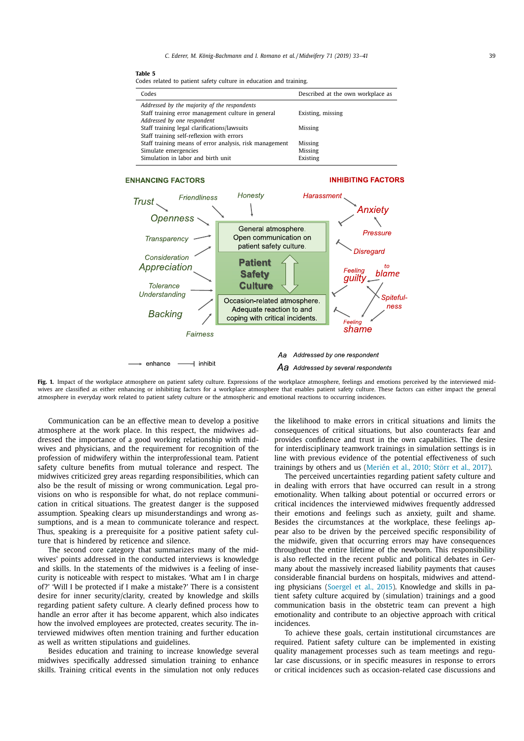| an |
|----|

| Codes related to patient safety culture in education and training. |  |  |  |  |
|--------------------------------------------------------------------|--|--|--|--|
|--------------------------------------------------------------------|--|--|--|--|

| Codes                                                   | Described at the own workplace as |
|---------------------------------------------------------|-----------------------------------|
| Addressed by the majority of the respondents            |                                   |
| Staff training error management culture in general      | Existing, missing                 |
| Addressed by one respondent                             |                                   |
| Staff training legal clarifications/lawsuits            | Missing                           |
| Staff training self-reflexion with errors               |                                   |
| Staff training means of error analysis, risk management | Missing                           |
| Simulate emergencies                                    | Missing                           |
| Simulation in labor and birth unit                      | Existing                          |

# **ENHANCING FACTORS**

## **INHIBITING FACTORS**



**Fig. 1.** Impact of the workplace atmosphere on patient safety culture. Expressions of the workplace atmosphere, feelings and emotions perceived by the interviewed midwives are classified as either enhancing or inhibiting factors for a workplace atmosphere that enables patient safety culture. These factors can either impact the general atmosphere in everyday work related to patient safety culture or the atmospheric and emotional reactions to occurring incidences.

Communication can be an effective mean to develop a positive atmosphere at the work place. In this respect, the midwives addressed the importance of a good working relationship with midwives and physicians, and the requirement for recognition of the profession of midwifery within the interprofessional team. Patient safety culture benefits from mutual tolerance and respect. The midwives criticized grey areas regarding responsibilities, which can also be the result of missing or wrong communication. Legal provisions on who is responsible for what, do not replace communication in critical situations. The greatest danger is the supposed assumption. Speaking clears up misunderstandings and wrong assumptions, and is a mean to communicate tolerance and respect. Thus, speaking is a prerequisite for a positive patient safety culture that is hindered by reticence and silence.

The second core category that summarizes many of the midwives' points addressed in the conducted interviews is knowledge and skills. In the statements of the midwives is a feeling of insecurity is noticeable with respect to mistakes. 'What am I in charge of?' 'Will I be protected if I make a mistake?' There is a consistent desire for inner security/clarity, created by knowledge and skills regarding patient safety culture. A clearly defined process how to handle an error after it has become apparent, which also indicates how the involved employees are protected, creates security. The interviewed midwives often mention training and further education as well as written stipulations and guidelines.

Besides education and training to increase knowledge several midwives specifically addressed simulation training to enhance skills. Training critical events in the simulation not only reduces the likelihood to make errors in critical situations and limits the consequences of critical situations, but also counteracts fear and provides confidence and trust in the own capabilities. The desire for interdisciplinary teamwork trainings in simulation settings is in line with previous evidence of the potential effectiveness of such trainings by others and us (Merién et al., 2010; Störr et al., 2017).

The perceived uncertainties regarding patient safety culture and in dealing with errors that have occurred can result in a strong emotionality. When talking about potential or occurred errors or critical incidences the interviewed midwives frequently addressed their emotions and feelings such as anxiety, guilt and shame. Besides the circumstances at the workplace, these feelings appear also to be driven by the perceived specific responsibility of the midwife, given that occurring errors may have consequences throughout the entire lifetime of the newborn. This responsibility is also reflected in the recent public and political debates in Germany about the massively increased liability payments that causes considerable financial burdens on hospitals, midwives and attending physicians (Soergel et al., 2015). Knowledge and skills in patient safety culture acquired by (simulation) trainings and a good communication basis in the obstetric team can prevent a high emotionality and contribute to an objective approach with critical incidences.

To achieve these goals, certain institutional circumstances are required. Patient safety culture can be implemented in existing quality management processes such as team meetings and regular case discussions, or in specific measures in response to errors or critical incidences such as occasion-related case discussions and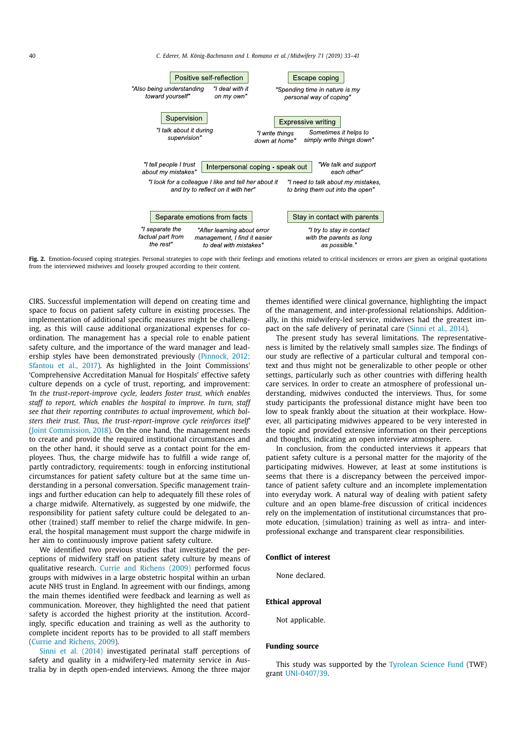40 *C. Ederer, M. König-Bachmann and I. Romano et al. / Midwifery 71 (2019) 33–41*



Fig. 2. Emotion-focused coping strategies. Personal strategies to cope with their feelings and emotions related to critical incidences or errors are given as original quotations from the interviewed midwives and loosely grouped according to their content.

CIRS. Successful implementation will depend on creating time and space to focus on patient safety culture in existing processes. The implementation of additional specific measures might be challenging, as this will cause additional organizational expenses for coordination. The management has a special role to enable patient safety culture, and the importance of the ward manager and leadership styles have been demonstrated previously (Pinnock, 2012; Sfantou et al., 2017). As highlighted in the Joint Commissions' 'Comprehensive Accreditation Manual for Hospitals' effective safety culture depends on a cycle of trust, reporting, and improvement: *'In the trust-report-improve cycle, leaders foster trust, which enables staff to report, which enables the hospital to improve. In turn, staff see that their reporting contributes to actual improvement, which bolsters their trust. Thus, the trust-report-improve cycle reinforces itself'* (Joint Commission, 2018). On the one hand, the management needs to create and provide the required institutional circumstances and on the other hand, it should serve as a contact point for the employees. Thus, the charge midwife has to fulfill a wide range of, partly contradictory, requirements: tough in enforcing institutional circumstances for patient safety culture but at the same time understanding in a personal conversation. Specific management trainings and further education can help to adequately fill these roles of a charge midwife. Alternatively, as suggested by one midwife, the responsibility for patient safety culture could be delegated to another (trained) staff member to relief the charge midwife. In general, the hospital management must support the charge midwife in her aim to continuously improve patient safety culture.

We identified two previous studies that investigated the perceptions of midwifery staff on patient safety culture by means of qualitative research. Currie and Richens (2009) performed focus groups with midwives in a large obstetric hospital within an urban acute NHS trust in England. In agreement with our findings, among the main themes identified were feedback and learning as well as communication. Moreover, they highlighted the need that patient safety is accorded the highest priority at the institution. Accordingly, specific education and training as well as the authority to complete incident reports has to be provided to all staff members (Currie and Richens, 2009).

Sinni et al. (2014) investigated perinatal staff perceptions of safety and quality in a midwifery-led maternity service in Australia by in depth open-ended interviews. Among the three major themes identified were clinical governance, highlighting the impact of the management, and inter-professional relationships. Additionally, in this midwifery-led service, midwives had the greatest impact on the safe delivery of perinatal care (Sinni et al., 2014).

The present study has several limitations. The representativeness is limited by the relatively small samples size. The findings of our study are reflective of a particular cultural and temporal context and thus might not be generalizable to other people or other settings, particularly such as other countries with differing health care services. In order to create an atmosphere of professional understanding, midwives conducted the interviews. Thus, for some study participants the professional distance might have been too low to speak frankly about the situation at their workplace. However, all participating midwives appeared to be very interested in the topic and provided extensive information on their perceptions and thoughts, indicating an open interview atmosphere.

In conclusion, from the conducted interviews it appears that patient safety culture is a personal matter for the majority of the participating midwives. However, at least at some institutions is seems that there is a discrepancy between the perceived importance of patient safety culture and an incomplete implementation into everyday work. A natural way of dealing with patient safety culture and an open blame-free discussion of critical incidences rely on the implementation of institutional circumstances that promote education, (simulation) training as well as intra- and interprofessional exchange and transparent clear responsibilities.

## **Conflict of interest**

None declared.

## **Ethical approval**

Not applicable.

## **Funding source**

This study was supported by the Tyrolean Science Fund (TWF) grant UNI-0407/39.